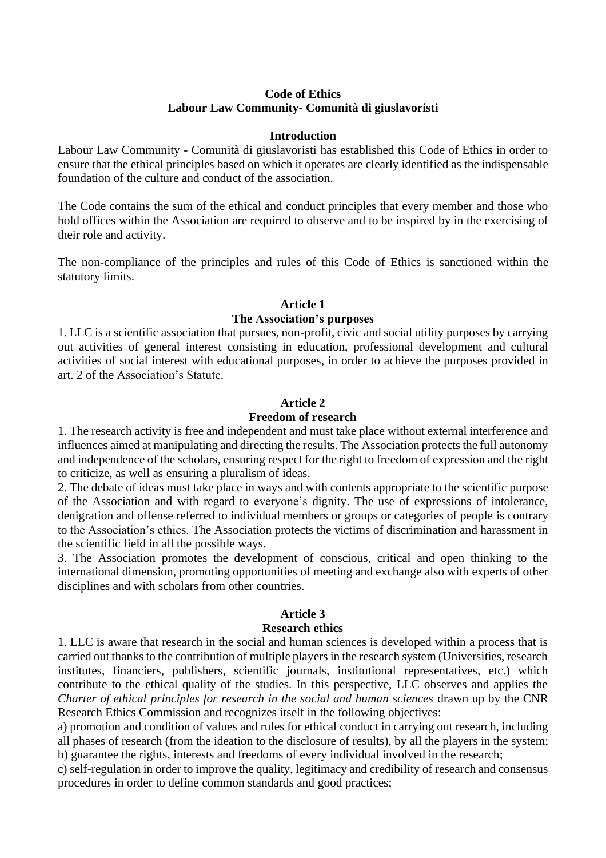## **Code of Ethics Labour Law Community- Comunità di giuslavoristi**

#### **Introduction**

Labour Law Community - Comunità di giuslavoristi has established this Code of Ethics in order to ensure that the ethical principles based on which it operates are clearly identified as the indispensable foundation of the culture and conduct of the association.

The Code contains the sum of the ethical and conduct principles that every member and those who hold offices within the Association are required to observe and to be inspired by in the exercising of their role and activity.

The non-compliance of the principles and rules of this Code of Ethics is sanctioned within the statutory limits.

## **Article 1**

## **The Association's purposes**

1. LLC is a scientific association that pursues, non-profit, civic and social utility purposes by carrying out activities of general interest consisting in education, professional development and cultural activities of social interest with educational purposes, in order to achieve the purposes provided in art. 2 of the Association's Statute.

#### **Article 2**

#### **Freedom of research**

1. The research activity is free and independent and must take place without external interference and influences aimed at manipulating and directing the results. The Association protects the full autonomy and independence of the scholars, ensuring respect for the right to freedom of expression and the right to criticize, as well as ensuring a pluralism of ideas.

2. The debate of ideas must take place in ways and with contents appropriate to the scientific purpose of the Association and with regard to everyone's dignity. The use of expressions of intolerance, denigration and offense referred to individual members or groups or categories of people is contrary to the Association's ethics. The Association protects the victims of discrimination and harassment in the scientific field in all the possible ways.

3. The Association promotes the development of conscious, critical and open thinking to the international dimension, promoting opportunities of meeting and exchange also with experts of other disciplines and with scholars from other countries.

## **Article 3**

#### **Research ethics**

1. LLC is aware that research in the social and human sciences is developed within a process that is carried out thanks to the contribution of multiple players in the research system (Universities, research institutes, financiers, publishers, scientific journals, institutional representatives, etc.) which contribute to the ethical quality of the studies. In this perspective, LLC observes and applies the *Charter of ethical principles for research in the social and human sciences* drawn up by the CNR Research Ethics Commission and recognizes itself in the following objectives:

a) promotion and condition of values and rules for ethical conduct in carrying out research, including all phases of research (from the ideation to the disclosure of results), by all the players in the system; b) guarantee the rights, interests and freedoms of every individual involved in the research;

c) self-regulation in order to improve the quality, legitimacy and credibility of research and consensus procedures in order to define common standards and good practices;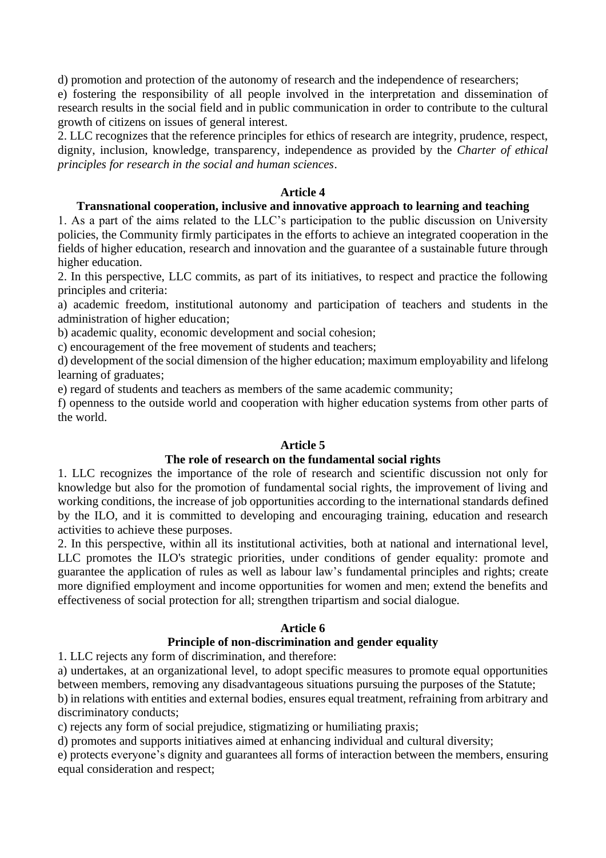d) promotion and protection of the autonomy of research and the independence of researchers;

e) fostering the responsibility of all people involved in the interpretation and dissemination of research results in the social field and in public communication in order to contribute to the cultural growth of citizens on issues of general interest.

2. LLC recognizes that the reference principles for ethics of research are integrity, prudence, respect, dignity, inclusion, knowledge, transparency, independence as provided by the *Charter of ethical principles for research in the social and human sciences*.

#### **Article 4**

#### **Transnational cooperation, inclusive and innovative approach to learning and teaching**

1. As a part of the aims related to the LLC's participation to the public discussion on University policies, the Community firmly participates in the efforts to achieve an integrated cooperation in the fields of higher education, research and innovation and the guarantee of a sustainable future through higher education.

2. In this perspective, LLC commits, as part of its initiatives, to respect and practice the following principles and criteria:

a) academic freedom, institutional autonomy and participation of teachers and students in the administration of higher education;

b) academic quality, economic development and social cohesion;

c) encouragement of the free movement of students and teachers;

d) development of the social dimension of the higher education; maximum employability and lifelong learning of graduates;

e) regard of students and teachers as members of the same academic community;

f) openness to the outside world and cooperation with higher education systems from other parts of the world.

## **Article 5**

## **The role of research on the fundamental social rights**

1. LLC recognizes the importance of the role of research and scientific discussion not only for knowledge but also for the promotion of fundamental social rights, the improvement of living and working conditions, the increase of job opportunities according to the international standards defined by the ILO, and it is committed to developing and encouraging training, education and research activities to achieve these purposes.

2. In this perspective, within all its institutional activities, both at national and international level, LLC promotes the ILO's strategic priorities, under conditions of gender equality: promote and guarantee the application of rules as well as labour law's fundamental principles and rights; create more dignified employment and income opportunities for women and men; extend the benefits and effectiveness of social protection for all; strengthen tripartism and social dialogue.

# **Article 6**

# **Principle of non-discrimination and gender equality**

1. LLC rejects any form of discrimination, and therefore:

a) undertakes, at an organizational level, to adopt specific measures to promote equal opportunities between members, removing any disadvantageous situations pursuing the purposes of the Statute;

b) in relations with entities and external bodies, ensures equal treatment, refraining from arbitrary and discriminatory conducts;

c) rejects any form of social prejudice, stigmatizing or humiliating praxis;

d) promotes and supports initiatives aimed at enhancing individual and cultural diversity;

e) protects everyone's dignity and guarantees all forms of interaction between the members, ensuring equal consideration and respect;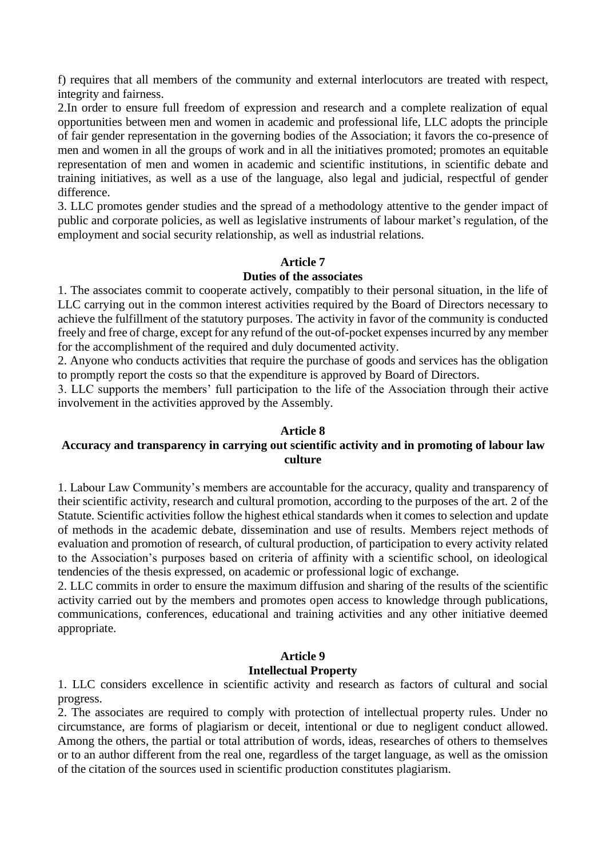f) requires that all members of the community and external interlocutors are treated with respect, integrity and fairness.

2.In order to ensure full freedom of expression and research and a complete realization of equal opportunities between men and women in academic and professional life, LLC adopts the principle of fair gender representation in the governing bodies of the Association; it favors the co-presence of men and women in all the groups of work and in all the initiatives promoted; promotes an equitable representation of men and women in academic and scientific institutions, in scientific debate and training initiatives, as well as a use of the language, also legal and judicial, respectful of gender difference.

3. LLC promotes gender studies and the spread of a methodology attentive to the gender impact of public and corporate policies, as well as legislative instruments of labour market's regulation, of the employment and social security relationship, as well as industrial relations.

## **Article 7**

## **Duties of the associates**

1. The associates commit to cooperate actively, compatibly to their personal situation, in the life of LLC carrying out in the common interest activities required by the Board of Directors necessary to achieve the fulfillment of the statutory purposes. The activity in favor of the community is conducted freely and free of charge, except for any refund of the out-of-pocket expenses incurred by any member for the accomplishment of the required and duly documented activity.

2. Anyone who conducts activities that require the purchase of goods and services has the obligation to promptly report the costs so that the expenditure is approved by Board of Directors.

3. LLC supports the members' full participation to the life of the Association through their active involvement in the activities approved by the Assembly.

## **Article 8**

# **Accuracy and transparency in carrying out scientific activity and in promoting of labour law culture**

1. Labour Law Community's members are accountable for the accuracy, quality and transparency of their scientific activity, research and cultural promotion, according to the purposes of the art. 2 of the Statute. Scientific activities follow the highest ethical standards when it comes to selection and update of methods in the academic debate, dissemination and use of results. Members reject methods of evaluation and promotion of research, of cultural production, of participation to every activity related to the Association's purposes based on criteria of affinity with a scientific school, on ideological tendencies of the thesis expressed, on academic or professional logic of exchange.

2. LLC commits in order to ensure the maximum diffusion and sharing of the results of the scientific activity carried out by the members and promotes open access to knowledge through publications, communications, conferences, educational and training activities and any other initiative deemed appropriate.

# **Article 9**

## **Intellectual Property**

1. LLC considers excellence in scientific activity and research as factors of cultural and social progress.

2. The associates are required to comply with protection of intellectual property rules. Under no circumstance, are forms of plagiarism or deceit, intentional or due to negligent conduct allowed. Among the others, the partial or total attribution of words, ideas, researches of others to themselves or to an author different from the real one, regardless of the target language, as well as the omission of the citation of the sources used in scientific production constitutes plagiarism.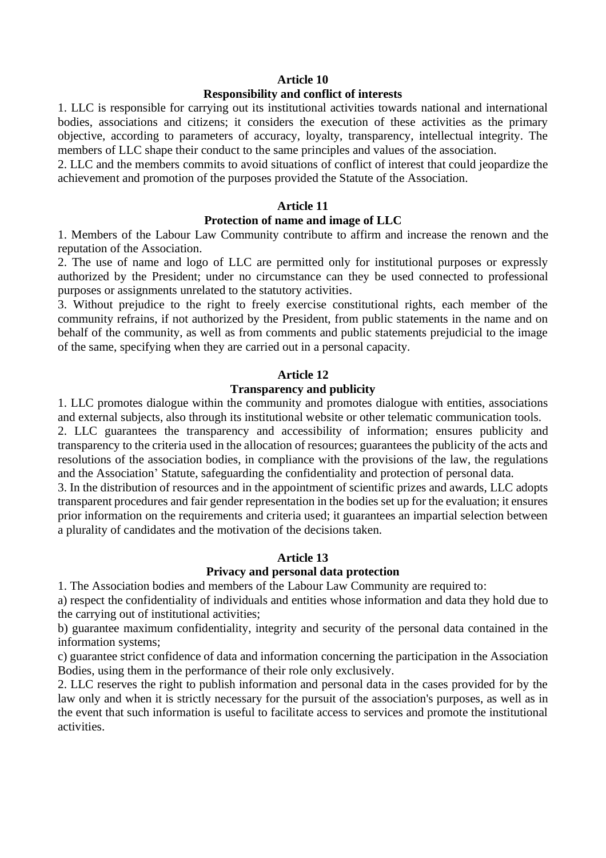#### **Article 10**

#### **Responsibility and conflict of interests**

1. LLC is responsible for carrying out its institutional activities towards national and international bodies, associations and citizens; it considers the execution of these activities as the primary objective, according to parameters of accuracy, loyalty, transparency, intellectual integrity. The members of LLC shape their conduct to the same principles and values of the association.

2. LLC and the members commits to avoid situations of conflict of interest that could jeopardize the achievement and promotion of the purposes provided the Statute of the Association.

#### **Article 11**

## **Protection of name and image of LLC**

1. Members of the Labour Law Community contribute to affirm and increase the renown and the reputation of the Association.

2. The use of name and logo of LLC are permitted only for institutional purposes or expressly authorized by the President; under no circumstance can they be used connected to professional purposes or assignments unrelated to the statutory activities.

3. Without prejudice to the right to freely exercise constitutional rights, each member of the community refrains, if not authorized by the President, from public statements in the name and on behalf of the community, as well as from comments and public statements prejudicial to the image of the same, specifying when they are carried out in a personal capacity.

#### **Article 12**

#### **Transparency and publicity**

1. LLC promotes dialogue within the community and promotes dialogue with entities, associations and external subjects, also through its institutional website or other telematic communication tools.

2. LLC guarantees the transparency and accessibility of information; ensures publicity and transparency to the criteria used in the allocation of resources; guarantees the publicity of the acts and resolutions of the association bodies, in compliance with the provisions of the law, the regulations and the Association' Statute, safeguarding the confidentiality and protection of personal data.

3. In the distribution of resources and in the appointment of scientific prizes and awards, LLC adopts transparent procedures and fair gender representation in the bodies set up for the evaluation; it ensures prior information on the requirements and criteria used; it guarantees an impartial selection between a plurality of candidates and the motivation of the decisions taken.

## **Article 13**

#### **Privacy and personal data protection**

1. The Association bodies and members of the Labour Law Community are required to:

a) respect the confidentiality of individuals and entities whose information and data they hold due to the carrying out of institutional activities;

b) guarantee maximum confidentiality, integrity and security of the personal data contained in the information systems;

c) guarantee strict confidence of data and information concerning the participation in the Association Bodies, using them in the performance of their role only exclusively.

2. LLC reserves the right to publish information and personal data in the cases provided for by the law only and when it is strictly necessary for the pursuit of the association's purposes, as well as in the event that such information is useful to facilitate access to services and promote the institutional activities.